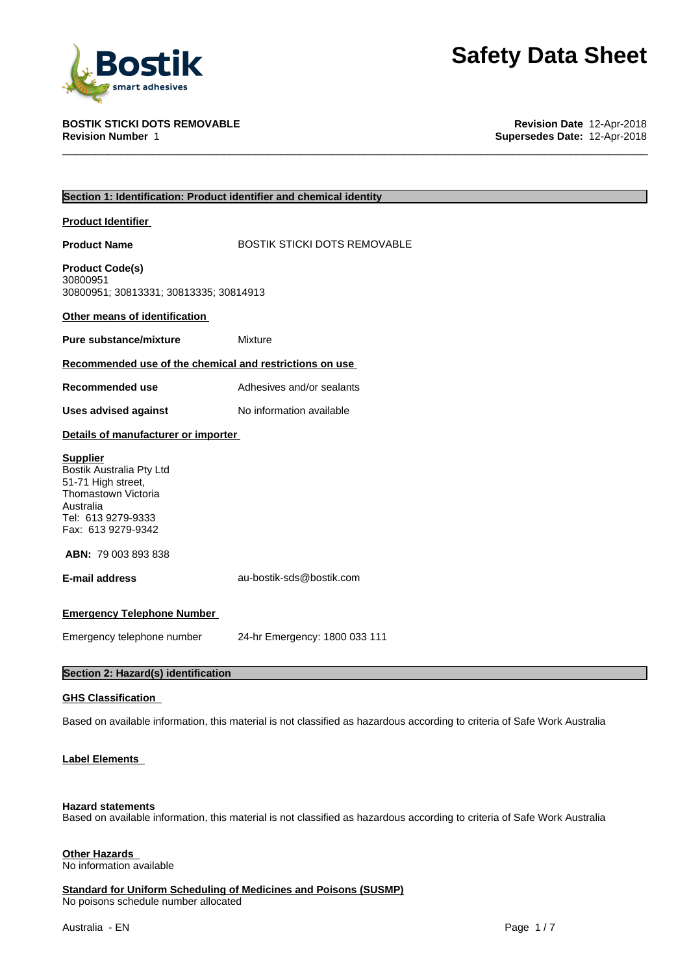

**BOSTIK STICKI DOTS REMOVABLE Revision Date** 12-Apr-2018 **Supersedes Date: 12-Apr-2018** 

|                                                                                                                                                   | Section 1: Identification: Product identifier and chemical identity                                                       |
|---------------------------------------------------------------------------------------------------------------------------------------------------|---------------------------------------------------------------------------------------------------------------------------|
| <b>Product Identifier</b>                                                                                                                         |                                                                                                                           |
| <b>Product Name</b>                                                                                                                               | <b>BOSTIK STICKI DOTS REMOVABLE</b>                                                                                       |
| <b>Product Code(s)</b><br>30800951<br>30800951; 30813331; 30813335; 30814913                                                                      |                                                                                                                           |
| Other means of identification                                                                                                                     |                                                                                                                           |
| <b>Pure substance/mixture</b>                                                                                                                     | Mixture                                                                                                                   |
| Recommended use of the chemical and restrictions on use                                                                                           |                                                                                                                           |
| Recommended use                                                                                                                                   | Adhesives and/or sealants                                                                                                 |
| <b>Uses advised against</b>                                                                                                                       | No information available                                                                                                  |
| Details of manufacturer or importer                                                                                                               |                                                                                                                           |
| <b>Supplier</b><br>Bostik Australia Pty Ltd<br>51-71 High street,<br>Thomastown Victoria<br>Australia<br>Tel: 613 9279-9333<br>Fax: 613 9279-9342 |                                                                                                                           |
| <b>ABN: 79 003 893 838</b>                                                                                                                        |                                                                                                                           |
| <b>E-mail address</b>                                                                                                                             | au-bostik-sds@bostik.com                                                                                                  |
| <b>Emergency Telephone Number</b>                                                                                                                 |                                                                                                                           |
| Emergency telephone number                                                                                                                        | 24-hr Emergency: 1800 033 111                                                                                             |
| Section 2: Hazard(s) identification                                                                                                               |                                                                                                                           |
| <b>GHS Classification</b>                                                                                                                         |                                                                                                                           |
|                                                                                                                                                   | Based on available information, this material is not classified as hazardous according to criteria of Safe Work Australia |
| Label Elements                                                                                                                                    |                                                                                                                           |

# **Hazard statements**

Based on available information, this material is not classified as hazardous according to criteria of Safe Work Australia

# **Other Hazards**

No information available

**Standard for Uniform Scheduling of Medicines and Poisons (SUSMP)**

No poisons schedule number allocated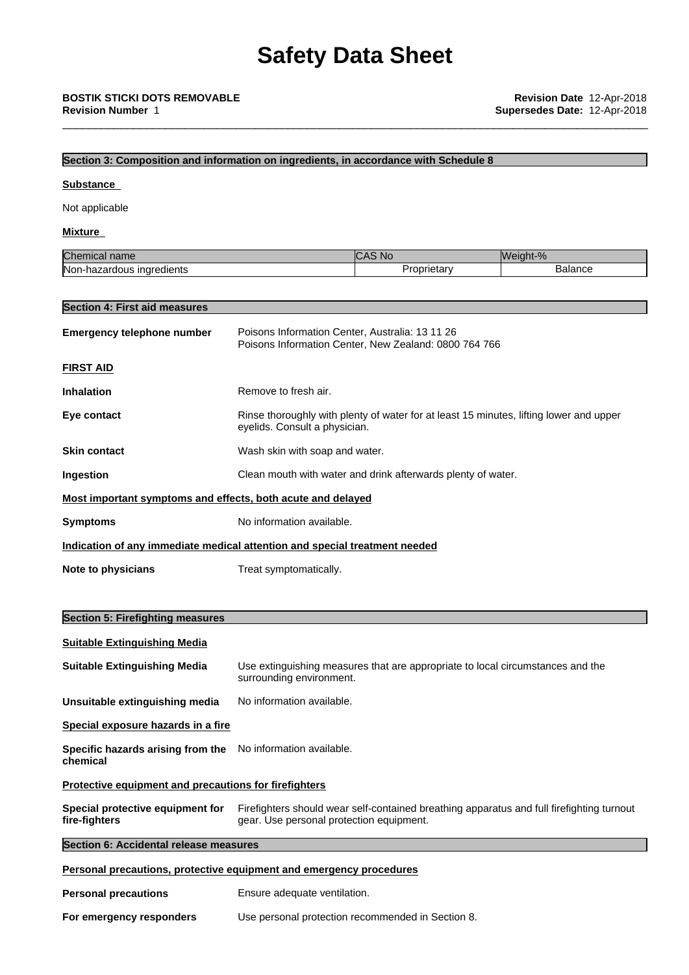# **Section 3: Composition and information on ingredients, in accordance with Schedule 8**

### **Substance**

Not applicable

# **Mixture**

| Chen                                   | .No        | Weight-% |
|----------------------------------------|------------|----------|
| mıcal name                             | $\sim$     | 70       |
| Non-l<br>ingredients<br>hazardous<br>n | Proprietar | Balance  |

## **Section 4: First aid measures**

| <b>Emergency telephone number</b>                                          | Poisons Information Center, Australia: 13 11 26<br>Poisons Information Center, New Zealand: 0800 764 766                |  |  |
|----------------------------------------------------------------------------|-------------------------------------------------------------------------------------------------------------------------|--|--|
| <b>FIRST AID</b>                                                           |                                                                                                                         |  |  |
| <b>Inhalation</b>                                                          | Remove to fresh air.                                                                                                    |  |  |
| Eye contact                                                                | Rinse thoroughly with plenty of water for at least 15 minutes, lifting lower and upper<br>eyelids. Consult a physician. |  |  |
| <b>Skin contact</b>                                                        | Wash skin with soap and water.                                                                                          |  |  |
| <b>Ingestion</b>                                                           | Clean mouth with water and drink afterwards plenty of water.                                                            |  |  |
| Most important symptoms and effects, both acute and delayed                |                                                                                                                         |  |  |
| <b>Symptoms</b>                                                            | No information available.                                                                                               |  |  |
| Indication of any immediate medical attention and special treatment needed |                                                                                                                         |  |  |
| Note to physicians                                                         | Treat symptomatically.                                                                                                  |  |  |

# **Section 5: Firefighting measures**

### **Suitable Extinguishing Media**

**Suitable Extinguishing Media** Use extinguishing measures that are appropriate to local circumstances and the surrounding environment.

**Unsuitable extinguishing media** No information available.

**Special exposure hazards in a fire**

**Specific hazards arising from the** No information available. **chemical**

# **Protective equipment and precautions for firefighters**

| Special protective equipment for | Firefighters should wear self-contained breathing apparatus and full firefighting turnout |
|----------------------------------|-------------------------------------------------------------------------------------------|
| fire-fighters                    | gear. Use personal protection equipment.                                                  |

## **Section 6: Accidental release measures**

### **Personal precautions, protective equipment and emergency procedures**

| <b>Personal precautions</b> | Ensure adequate ventilation.                      |
|-----------------------------|---------------------------------------------------|
| For emergency responders    | Use personal protection recommended in Section 8. |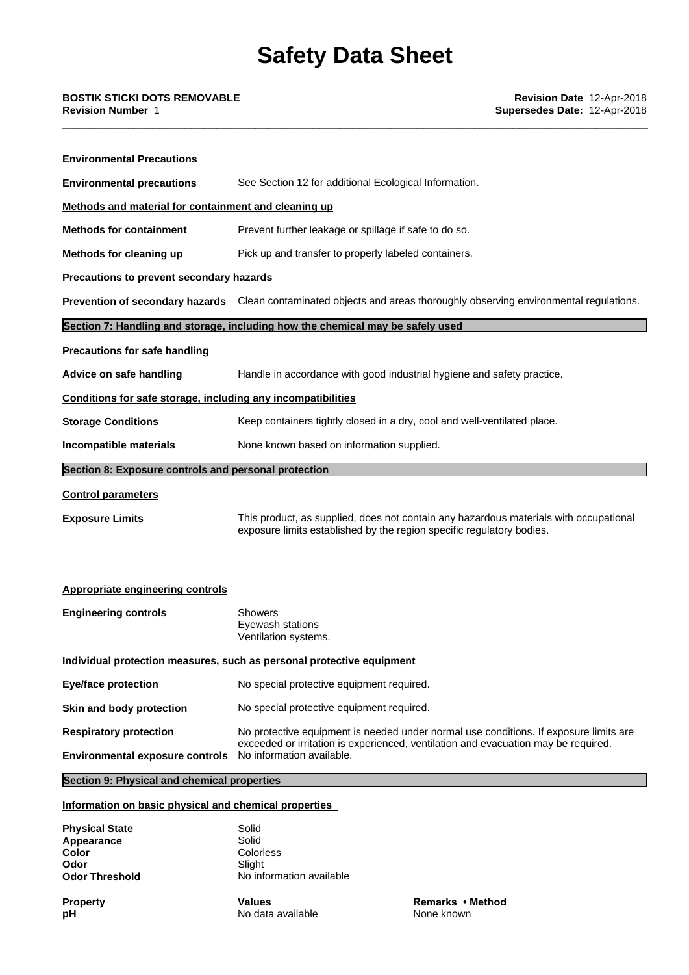| <b>Environmental Precautions</b>                             |                                                                                                                                                                |
|--------------------------------------------------------------|----------------------------------------------------------------------------------------------------------------------------------------------------------------|
| <b>Environmental precautions</b>                             | See Section 12 for additional Ecological Information.                                                                                                          |
| Methods and material for containment and cleaning up         |                                                                                                                                                                |
| <b>Methods for containment</b>                               | Prevent further leakage or spillage if safe to do so.                                                                                                          |
| Methods for cleaning up                                      | Pick up and transfer to properly labeled containers.                                                                                                           |
| Precautions to prevent secondary hazards                     |                                                                                                                                                                |
|                                                              | Prevention of secondary hazards Clean contaminated objects and areas thoroughly observing environmental regulations.                                           |
|                                                              | Section 7: Handling and storage, including how the chemical may be safely used                                                                                 |
| <b>Precautions for safe handling</b>                         |                                                                                                                                                                |
| Advice on safe handling                                      | Handle in accordance with good industrial hygiene and safety practice.                                                                                         |
| Conditions for safe storage, including any incompatibilities |                                                                                                                                                                |
| <b>Storage Conditions</b>                                    | Keep containers tightly closed in a dry, cool and well-ventilated place.                                                                                       |
| Incompatible materials                                       | None known based on information supplied.                                                                                                                      |
| Section 8: Exposure controls and personal protection         |                                                                                                                                                                |
| <b>Control parameters</b>                                    |                                                                                                                                                                |
| <b>Exposure Limits</b>                                       | This product, as supplied, does not contain any hazardous materials with occupational<br>exposure limits established by the region specific regulatory bodies. |
| Appropriate engineering controls                             |                                                                                                                                                                |
| <b>Engineering controls</b>                                  | <b>Showers</b><br>Eyewash stations<br>Ventilation systems.                                                                                                     |
|                                                              | Individual protection measures, such as personal protective equipment                                                                                          |
| <b>Eye/face protection</b>                                   | No special protective equipment required.                                                                                                                      |

**Skin and body protection** No special protective equipment required.

**Respiratory protection** No protective equipment is needed under normal use conditions. If exposure limits are exceeded or irritation is experienced, ventilation and evacuation may be required. **Environmental exposure controls** No information available.

**Section 9: Physical and chemical properties**

# **Information on basic physical and chemical properties**

| <b>Physical State</b><br>Appearance | Solid<br>Solid           |
|-------------------------------------|--------------------------|
| Color                               | Colorless                |
| Odor                                | Slight                   |
| <b>Odor Threshold</b>               | No information available |

**Property Remarks** • **Method Values Remarks** • **Method**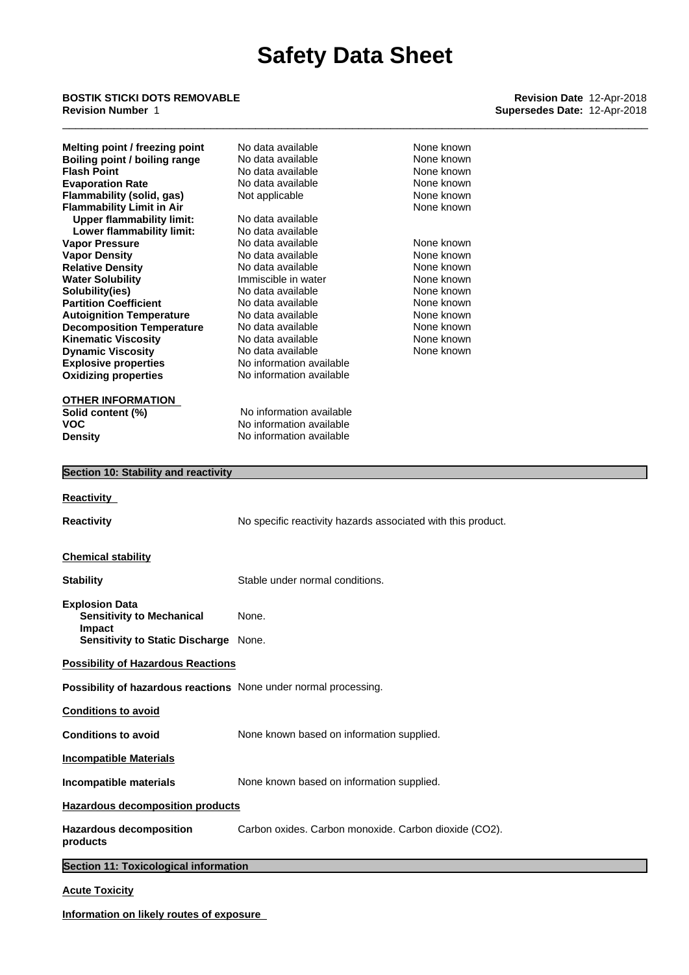# \_\_\_\_\_\_\_\_\_\_\_\_\_\_\_\_\_\_\_\_\_\_\_\_\_\_\_\_\_\_\_\_\_\_\_\_\_\_\_\_\_\_\_\_\_\_\_\_\_\_\_\_\_\_\_\_\_\_\_\_\_\_\_\_\_\_\_\_\_\_\_\_\_\_\_\_\_\_\_\_\_\_\_\_\_\_\_\_\_\_\_ **BOSTIK STICKI DOTS REMOVABLE Revision Date** 12-Apr-2018 **Revision Number** 1 **Supersedes Date:** 12-Apr-2018

| Melting point / freezing point                                   | No data available                                     | None known                                                   |  |
|------------------------------------------------------------------|-------------------------------------------------------|--------------------------------------------------------------|--|
| <b>Boiling point / boiling range</b><br><b>Flash Point</b>       | No data available<br>No data available                | None known<br>None known                                     |  |
| <b>Evaporation Rate</b>                                          | No data available                                     | None known                                                   |  |
| Flammability (solid, gas)                                        | Not applicable                                        | None known                                                   |  |
| <b>Flammability Limit in Air</b>                                 |                                                       | None known                                                   |  |
| <b>Upper flammability limit:</b>                                 | No data available                                     |                                                              |  |
| Lower flammability limit:                                        | No data available                                     |                                                              |  |
| <b>Vapor Pressure</b>                                            | No data available                                     | None known<br>None known                                     |  |
| <b>Vapor Density</b><br><b>Relative Density</b>                  | No data available<br>No data available                | None known                                                   |  |
| <b>Water Solubility</b>                                          | Immiscible in water                                   | None known                                                   |  |
| Solubility(ies)                                                  | No data available                                     | None known                                                   |  |
| <b>Partition Coefficient</b>                                     | No data available                                     | None known                                                   |  |
| <b>Autoignition Temperature</b>                                  | No data available                                     | None known                                                   |  |
| <b>Decomposition Temperature</b>                                 | No data available<br>No data available                | None known<br>None known                                     |  |
| <b>Kinematic Viscosity</b><br><b>Dynamic Viscosity</b>           | No data available                                     | None known                                                   |  |
| <b>Explosive properties</b>                                      | No information available                              |                                                              |  |
| <b>Oxidizing properties</b>                                      | No information available                              |                                                              |  |
|                                                                  |                                                       |                                                              |  |
| <b>OTHER INFORMATION</b>                                         |                                                       |                                                              |  |
| Solid content (%)                                                | No information available                              |                                                              |  |
| VOC                                                              | No information available<br>No information available  |                                                              |  |
| <b>Density</b>                                                   |                                                       |                                                              |  |
| Section 10: Stability and reactivity                             |                                                       |                                                              |  |
|                                                                  |                                                       |                                                              |  |
| <b>Reactivity</b>                                                |                                                       |                                                              |  |
| <b>Reactivity</b>                                                |                                                       | No specific reactivity hazards associated with this product. |  |
|                                                                  |                                                       |                                                              |  |
|                                                                  |                                                       |                                                              |  |
| <b>Chemical stability</b>                                        |                                                       |                                                              |  |
| <b>Stability</b>                                                 | Stable under normal conditions.                       |                                                              |  |
|                                                                  |                                                       |                                                              |  |
| <b>Explosion Data</b><br><b>Sensitivity to Mechanical</b>        | None.                                                 |                                                              |  |
| Impact                                                           |                                                       |                                                              |  |
| Sensitivity to Static Discharge None.                            |                                                       |                                                              |  |
| <b>Possibility of Hazardous Reactions</b>                        |                                                       |                                                              |  |
| Possibility of hazardous reactions None under normal processing. |                                                       |                                                              |  |
|                                                                  |                                                       |                                                              |  |
| <b>Conditions to avoid</b>                                       |                                                       |                                                              |  |
| <b>Conditions to avoid</b>                                       | None known based on information supplied.             |                                                              |  |
| <b>Incompatible Materials</b>                                    |                                                       |                                                              |  |
| Incompatible materials                                           | None known based on information supplied.             |                                                              |  |
|                                                                  |                                                       |                                                              |  |
| <b>Hazardous decomposition products</b>                          |                                                       |                                                              |  |
| <b>Hazardous decomposition</b><br>products                       | Carbon oxides. Carbon monoxide. Carbon dioxide (CO2). |                                                              |  |
|                                                                  |                                                       |                                                              |  |
| Section 11: Toxicological information                            |                                                       |                                                              |  |
| <b>Acute Toxicity</b>                                            |                                                       |                                                              |  |

**Information on likely routes of exposure**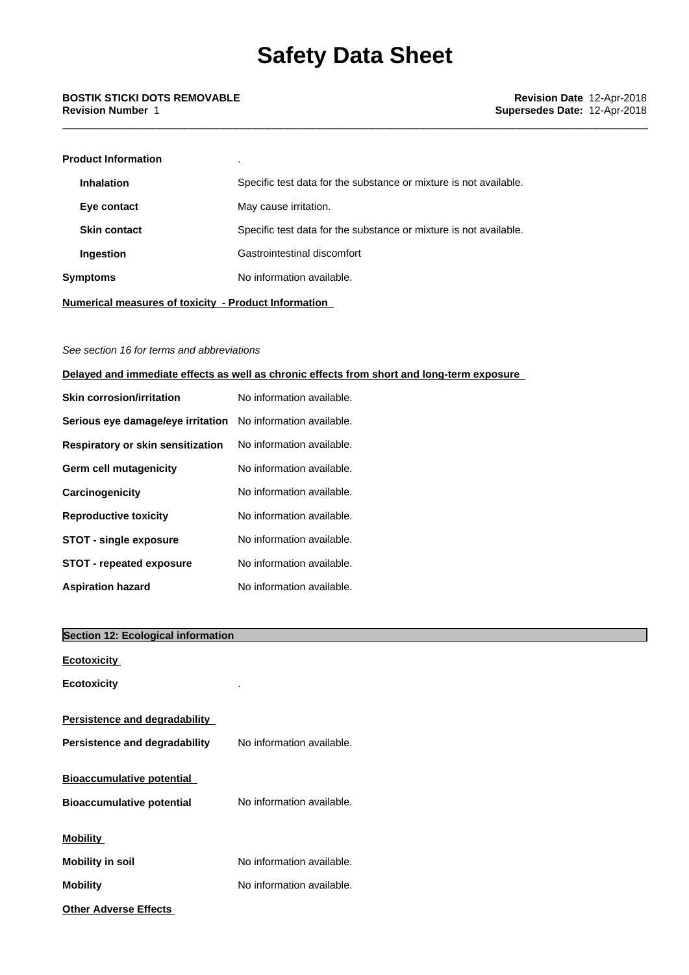# **Product Information** . **Inhalation** Specific test data for the substance or mixture is not available. **Eye contact** May cause irritation. **Skin contact** Specific test data for the substance or mixture is not available. **Ingestion** Gastrointestinal discomfort **Symptoms** No information available.

**Numerical measures of toxicity - Product Information**

# *See section 16 for terms and abbreviations*

# **Delayed and immediate effects as well as chronic effects from short and long-term exposure**

| <b>Skin corrosion/irritation</b>                            | No information available. |
|-------------------------------------------------------------|---------------------------|
| Serious eye damage/eye irritation No information available. |                           |
| <b>Respiratory or skin sensitization</b>                    | No information available. |
| Germ cell mutagenicity                                      | No information available. |
| <b>Carcinogenicity</b>                                      | No information available. |
| <b>Reproductive toxicity</b>                                | No information available. |
| <b>STOT - single exposure</b>                               | No information available. |
| <b>STOT - repeated exposure</b>                             | No information available. |
| <b>Aspiration hazard</b>                                    | No information available. |

# **Section 12: Ecological information**

| <b>Ecotoxicity</b>                   |                           |
|--------------------------------------|---------------------------|
| <b>Ecotoxicity</b>                   |                           |
| <b>Persistence and degradability</b> |                           |
| Persistence and degradability        | No information available. |
| <b>Bioaccumulative potential</b>     |                           |
| <b>Bioaccumulative potential</b>     | No information available. |
| <b>Mobility</b>                      |                           |
| <b>Mobility in soil</b>              | No information available. |
| <b>Mobility</b>                      | No information available. |
| <b>Other Adverse Effects</b>         |                           |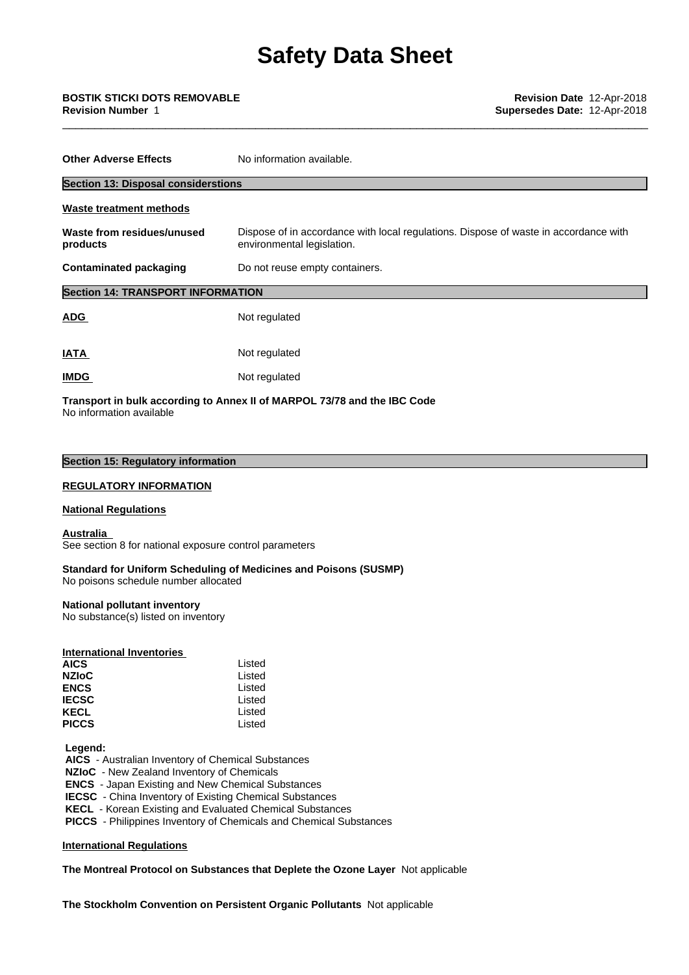| <b>Other Adverse Effects</b>               | No information available.                                                                                          |
|--------------------------------------------|--------------------------------------------------------------------------------------------------------------------|
| <b>Section 13: Disposal considerstions</b> |                                                                                                                    |
| <b>Waste treatment methods</b>             |                                                                                                                    |
| Waste from residues/unused<br>products     | Dispose of in accordance with local regulations. Dispose of waste in accordance with<br>environmental legislation. |
| <b>Contaminated packaging</b>              | Do not reuse empty containers.                                                                                     |
| <b>Section 14: TRANSPORT INFORMATION</b>   |                                                                                                                    |
| <b>ADG</b>                                 | Not regulated                                                                                                      |
| <b>IATA</b>                                | Not regulated                                                                                                      |
| <b>IMDG</b>                                | Not regulated                                                                                                      |
|                                            | Transport in bulk according to Annex II of MARPOL 73/78 and the IBC Code                                           |

No information available

# **Section 15: Regulatory information**

# **REGULATORY INFORMATION**

### **National Regulations**

# **Australia**

See section 8 for national exposure control parameters

### **Standard for Uniform Scheduling of Medicines and Poisons (SUSMP)** No poisons schedule number allocated

## **National pollutant inventory**

No substance(s) listed on inventory

## **International Inventories**

| AICS         | Listed |  |
|--------------|--------|--|
| <b>NZIoC</b> | Listed |  |
| <b>ENCS</b>  | Listed |  |
| <b>IECSC</b> | Listed |  |
| KECL         | Listed |  |
| <b>PICCS</b> | Listed |  |

### **Legend:**

 **AICS** - Australian Inventory of Chemical Substances

 **NZIoC** - New Zealand Inventory of Chemicals

 **ENCS** - Japan Existing and New Chemical Substances

 **IECSC** - China Inventory of Existing Chemical Substances

 **KECL** - Korean Existing and Evaluated Chemical Substances

 **PICCS** - Philippines Inventory of Chemicals and Chemical Substances

# **International Regulations**

# **The Montreal Protocol on Substances that Deplete the Ozone Layer** Notapplicable

**The Stockholm Convention on Persistent Organic Pollutants** Not applicable